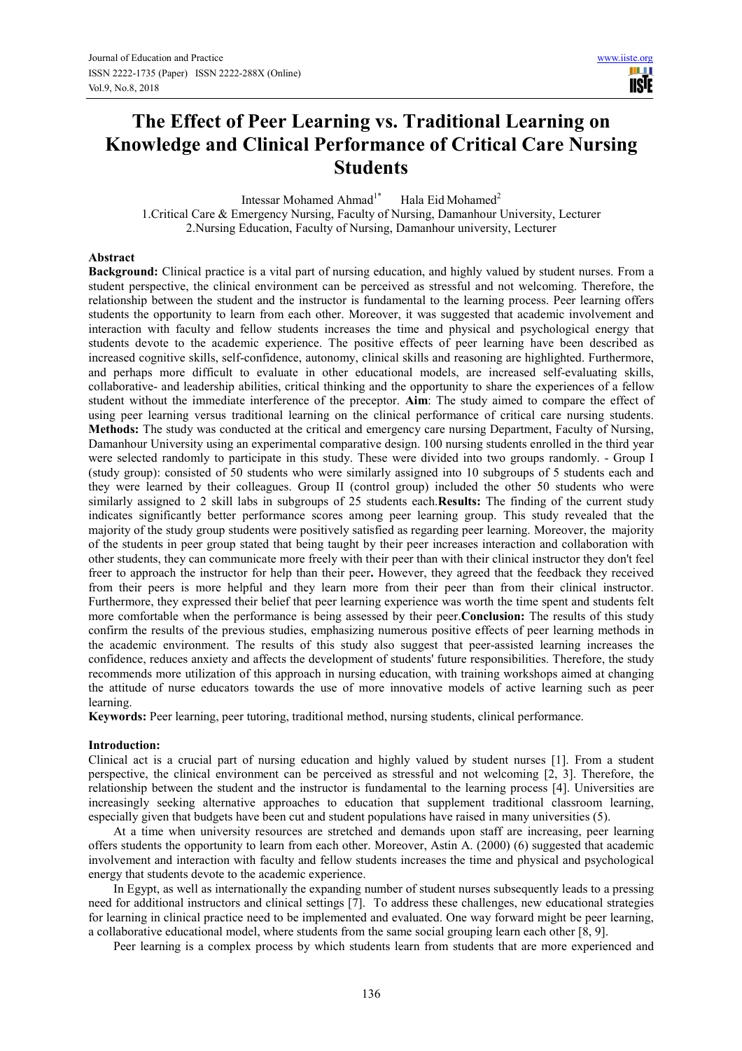**TISTE** 

# **The Effect of Peer Learning vs. Traditional Learning on Knowledge and Clinical Performance of Critical Care Nursing Students**

Intessar Mohamed Ahmad<sup>1\*</sup> Hala Eid Mohamed<sup>2</sup> 1.Critical Care & Emergency Nursing, Faculty of Nursing, Damanhour University, Lecturer 2.Nursing Education, Faculty of Nursing, Damanhour university, Lecturer

#### **Abstract**

**Background:** Clinical practice is a vital part of nursing education, and highly valued by student nurses. From a student perspective, the clinical environment can be perceived as stressful and not welcoming. Therefore, the relationship between the student and the instructor is fundamental to the learning process. Peer learning offers students the opportunity to learn from each other. Moreover, it was suggested that academic involvement and interaction with faculty and fellow students increases the time and physical and psychological energy that students devote to the academic experience. The positive effects of peer learning have been described as increased cognitive skills, self-confidence, autonomy, clinical skills and reasoning are highlighted. Furthermore, and perhaps more difficult to evaluate in other educational models, are increased self-evaluating skills, collaborative- and leadership abilities, critical thinking and the opportunity to share the experiences of a fellow student without the immediate interference of the preceptor. **Aim**: The study aimed to compare the effect of using peer learning versus traditional learning on the clinical performance of critical care nursing students. **Methods:** The study was conducted at the critical and emergency care nursing Department, Faculty of Nursing, Damanhour University using an experimental comparative design. 100 nursing students enrolled in the third year were selected randomly to participate in this study. These were divided into two groups randomly. - Group I (study group): consisted of 50 students who were similarly assigned into 10 subgroups of 5 students each and they were learned by their colleagues. Group II (control group) included the other 50 students who were similarly assigned to 2 skill labs in subgroups of 25 students each.**Results:** The finding of the current study indicates significantly better performance scores among peer learning group. This study revealed that the majority of the study group students were positively satisfied as regarding peer learning. Moreover, the majority of the students in peer group stated that being taught by their peer increases interaction and collaboration with other students, they can communicate more freely with their peer than with their clinical instructor they don't feel freer to approach the instructor for help than their peer**.** However, they agreed that the feedback they received from their peers is more helpful and they learn more from their peer than from their clinical instructor. Furthermore, they expressed their belief that peer learning experience was worth the time spent and students felt more comfortable when the performance is being assessed by their peer.**Conclusion:** The results of this study confirm the results of the previous studies, emphasizing numerous positive effects of peer learning methods in the academic environment. The results of this study also suggest that peer-assisted learning increases the confidence, reduces anxiety and affects the development of students' future responsibilities. Therefore, the study recommends more utilization of this approach in nursing education, with training workshops aimed at changing the attitude of nurse educators towards the use of more innovative models of active learning such as peer learning.

**Keywords:** Peer learning, peer tutoring, traditional method, nursing students, clinical performance.

#### **Introduction:**

Clinical act is a crucial part of nursing education and highly valued by student nurses [1]. From a student perspective, the clinical environment can be perceived as stressful and not welcoming [2, 3]. Therefore, the relationship between the student and the instructor is fundamental to the learning process [4]. Universities are increasingly seeking alternative approaches to education that supplement traditional classroom learning, especially given that budgets have been cut and student populations have raised in many universities (5).

At a time when university resources are stretched and demands upon staff are increasing, peer learning offers students the opportunity to learn from each other. Moreover, Astin A. (2000) (6) suggested that academic involvement and interaction with faculty and fellow students increases the time and physical and psychological energy that students devote to the academic experience.

In Egypt, as well as internationally the expanding number of student nurses subsequently leads to a pressing need for additional instructors and clinical settings [7]. To address these challenges, new educational strategies for learning in clinical practice need to be implemented and evaluated. One way forward might be peer learning, a collaborative educational model, where students from the same social grouping learn each other [8, 9].

Peer learning is a complex process by which students learn from students that are more experienced and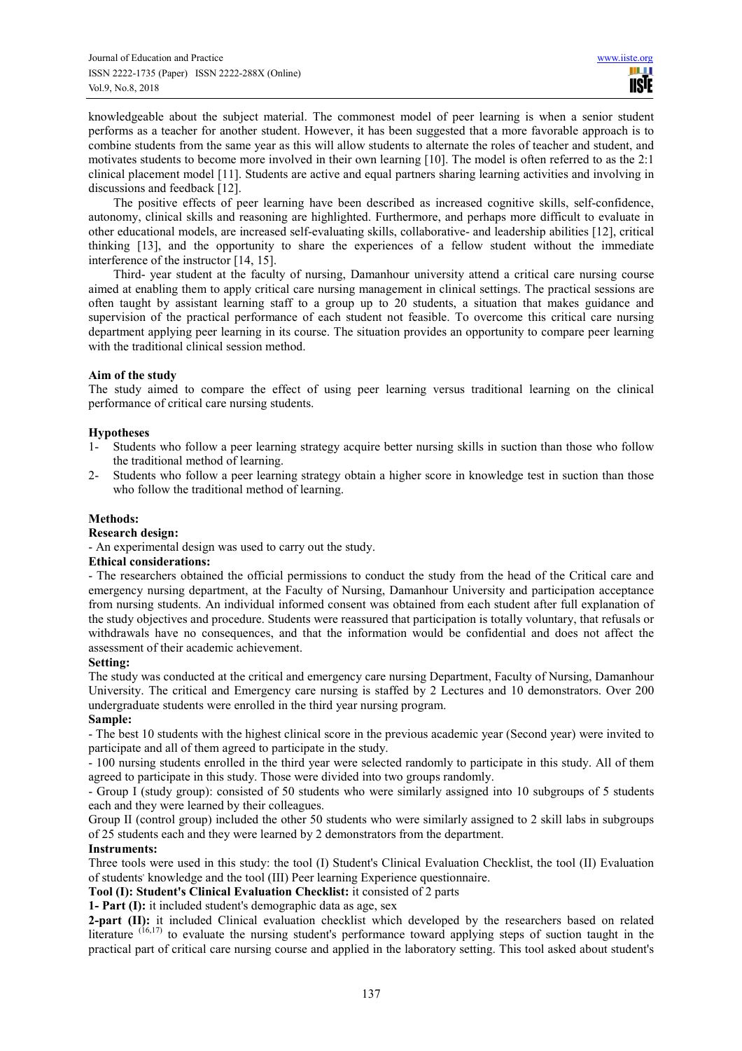knowledgeable about the subject material. The commonest model of peer learning is when a senior student performs as a teacher for another student. However, it has been suggested that a more favorable approach is to combine students from the same year as this will allow students to alternate the roles of teacher and student, and motivates students to become more involved in their own learning [10]. The model is often referred to as the 2:1 clinical placement model [11]. Students are active and equal partners sharing learning activities and involving in discussions and feedback [12].

The positive effects of peer learning have been described as increased cognitive skills, self-confidence, autonomy, clinical skills and reasoning are highlighted. Furthermore, and perhaps more difficult to evaluate in other educational models, are increased self-evaluating skills, collaborative- and leadership abilities [12], critical thinking [13], and the opportunity to share the experiences of a fellow student without the immediate interference of the instructor [14, 15].

Third- year student at the faculty of nursing, Damanhour university attend a critical care nursing course aimed at enabling them to apply critical care nursing management in clinical settings. The practical sessions are often taught by assistant learning staff to a group up to 20 students, a situation that makes guidance and supervision of the practical performance of each student not feasible. To overcome this critical care nursing department applying peer learning in its course. The situation provides an opportunity to compare peer learning with the traditional clinical session method.

## **Aim of the study**

The study aimed to compare the effect of using peer learning versus traditional learning on the clinical performance of critical care nursing students.

## **Hypotheses**

- 1- Students who follow a peer learning strategy acquire better nursing skills in suction than those who follow the traditional method of learning.
- 2- Students who follow a peer learning strategy obtain a higher score in knowledge test in suction than those who follow the traditional method of learning.

## **Methods:**

## **Research design:**

- An experimental design was used to carry out the study.

## **Ethical considerations:**

- The researchers obtained the official permissions to conduct the study from the head of the Critical care and emergency nursing department, at the Faculty of Nursing, Damanhour University and participation acceptance from nursing students. An individual informed consent was obtained from each student after full explanation of the study objectives and procedure. Students were reassured that participation is totally voluntary, that refusals or withdrawals have no consequences, and that the information would be confidential and does not affect the assessment of their academic achievement.

## **Setting:**

The study was conducted at the critical and emergency care nursing Department, Faculty of Nursing, Damanhour University. The critical and Emergency care nursing is staffed by 2 Lectures and 10 demonstrators. Over 200 undergraduate students were enrolled in the third year nursing program.

## **Sample:**

- The best 10 students with the highest clinical score in the previous academic year (Second year) were invited to participate and all of them agreed to participate in the study.

- 100 nursing students enrolled in the third year were selected randomly to participate in this study. All of them agreed to participate in this study. Those were divided into two groups randomly.

- Group I (study group): consisted of 50 students who were similarly assigned into 10 subgroups of 5 students each and they were learned by their colleagues.

Group II (control group) included the other 50 students who were similarly assigned to 2 skill labs in subgroups of 25 students each and they were learned by 2 demonstrators from the department.

## **Instruments:**

Three tools were used in this study: the tool (I) Student's Clinical Evaluation Checklist, the tool (II) Evaluation of students' knowledge and the tool (III) Peer learning Experience questionnaire.

**Tool (I): Student's Clinical Evaluation Checklist:** it consisted of 2 parts

**1- Part (I):** it included student's demographic data as age, sex

**2-part (II):** it included Clinical evaluation checklist which developed by the researchers based on related literature  $(16,17)$  to evaluate the nursing student's performance toward applying steps of suction taught in the practical part of critical care nursing course and applied in the laboratory setting. This tool asked about student's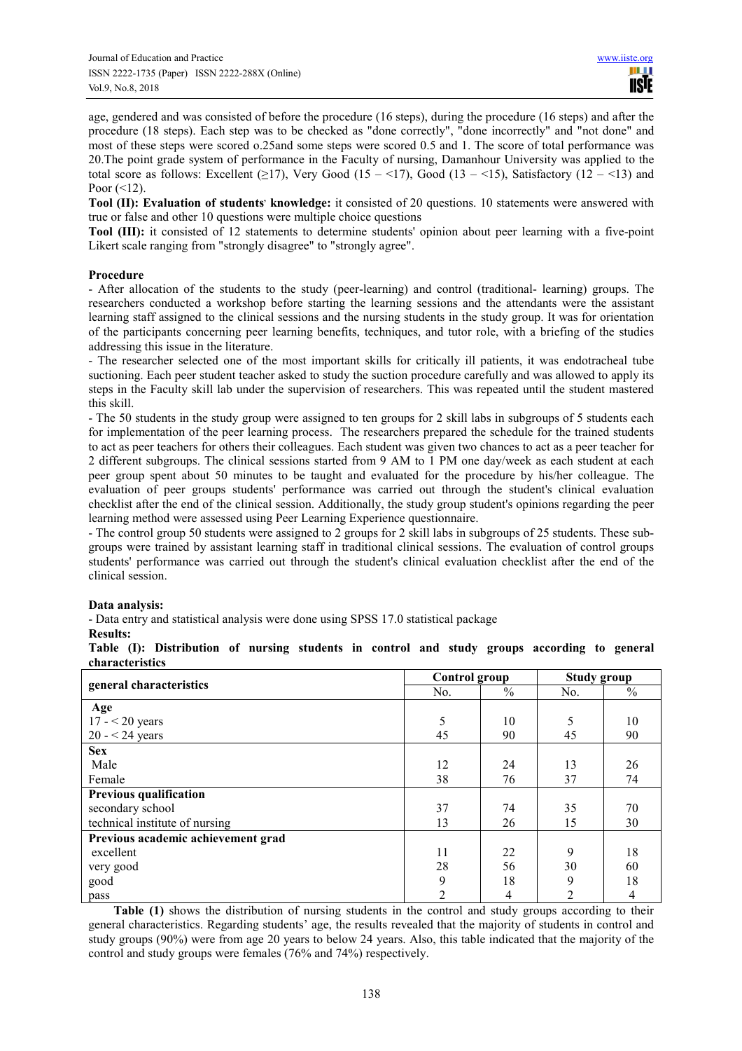age, gendered and was consisted of before the procedure (16 steps), during the procedure (16 steps) and after the procedure (18 steps). Each step was to be checked as "done correctly", "done incorrectly" and "not done" and most of these steps were scored o.25and some steps were scored 0.5 and 1. The score of total performance was 20.The point grade system of performance in the Faculty of nursing, Damanhour University was applied to the total score as follows: Excellent ( $\geq$ 17), Very Good (15 – <17), Good (13 – <15), Satisfactory (12 – <13) and Poor  $(<12)$ .

**Tool (II): Evaluation of students' knowledge:** it consisted of 20 questions. 10 statements were answered with true or false and other 10 questions were multiple choice questions

**Tool (III):** it consisted of 12 statements to determine students' opinion about peer learning with a five-point Likert scale ranging from "strongly disagree" to "strongly agree".

#### **Procedure**

- After allocation of the students to the study (peer-learning) and control (traditional- learning) groups. The researchers conducted a workshop before starting the learning sessions and the attendants were the assistant learning staff assigned to the clinical sessions and the nursing students in the study group. It was for orientation of the participants concerning peer learning benefits, techniques, and tutor role, with a briefing of the studies addressing this issue in the literature.

- The researcher selected one of the most important skills for critically ill patients, it was endotracheal tube suctioning. Each peer student teacher asked to study the suction procedure carefully and was allowed to apply its steps in the Faculty skill lab under the supervision of researchers. This was repeated until the student mastered this skill.

- The 50 students in the study group were assigned to ten groups for 2 skill labs in subgroups of 5 students each for implementation of the peer learning process. The researchers prepared the schedule for the trained students to act as peer teachers for others their colleagues. Each student was given two chances to act as a peer teacher for 2 different subgroups. The clinical sessions started from 9 AM to 1 PM one day/week as each student at each peer group spent about 50 minutes to be taught and evaluated for the procedure by his/her colleague. The evaluation of peer groups students' performance was carried out through the student's clinical evaluation checklist after the end of the clinical session. Additionally, the study group student's opinions regarding the peer learning method were assessed using Peer Learning Experience questionnaire.

- The control group 50 students were assigned to 2 groups for 2 skill labs in subgroups of 25 students. These subgroups were trained by assistant learning staff in traditional clinical sessions. The evaluation of control groups students' performance was carried out through the student's clinical evaluation checklist after the end of the clinical session.

## **Data analysis:**

- Data entry and statistical analysis were done using SPSS 17.0 statistical package

#### **Results:**

|                 |  | Table (I): Distribution of nursing students in control and study groups according to general |  |  |  |  |  |  |  |
|-----------------|--|----------------------------------------------------------------------------------------------|--|--|--|--|--|--|--|
| characteristics |  |                                                                                              |  |  |  |  |  |  |  |

|                                    | Control group  |               | <b>Study group</b> |      |  |
|------------------------------------|----------------|---------------|--------------------|------|--|
| general characteristics            | No.            | $\frac{0}{0}$ | No.                | $\%$ |  |
| Age                                |                |               |                    |      |  |
| $17 - 20$ years                    | 5              | 10            | 5                  | 10   |  |
| $20 - 24$ years                    | 45             | 90            | 45                 | 90   |  |
| <b>Sex</b>                         |                |               |                    |      |  |
| Male                               | 12             | 24            | 13                 | 26   |  |
| Female                             | 38             | 76            | 37                 | 74   |  |
| <b>Previous qualification</b>      |                |               |                    |      |  |
| secondary school                   | 37             | 74            | 35                 | 70   |  |
| technical institute of nursing     | 13             | 26            | 15                 | 30   |  |
| Previous academic achievement grad |                |               |                    |      |  |
| excellent                          | 11             | 22            | 9                  | 18   |  |
| very good                          | 28             | 56            | 30                 | 60   |  |
| good                               | 9              | 18            | 9                  | 18   |  |
| pass                               | $\overline{2}$ | 4             | $\mathfrak{D}$     | 4    |  |

**Table (1)** shows the distribution of nursing students in the control and study groups according to their general characteristics. Regarding students' age, the results revealed that the majority of students in control and study groups (90%) were from age 20 years to below 24 years. Also, this table indicated that the majority of the control and study groups were females (76% and 74%) respectively.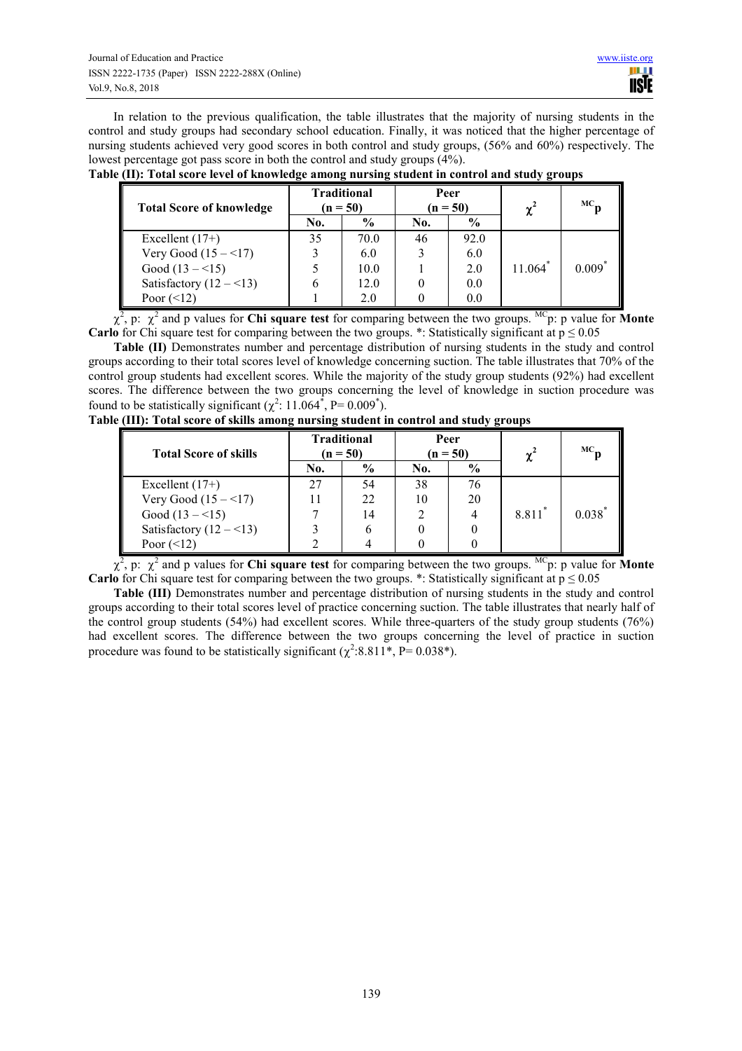In relation to the previous qualification, the table illustrates that the majority of nursing students in the control and study groups had secondary school education. Finally, it was noticed that the higher percentage of nursing students achieved very good scores in both control and study groups, (56% and 60%) respectively. The lowest percentage got pass score in both the control and study groups (4%).

| <b>Total Score of knowledge</b> |     | <b>Traditional</b><br>$(n = 50)$ |     | Peer<br>$(n = 50)$ | $\gamma^2$            | $MC_{-}$ |  |
|---------------------------------|-----|----------------------------------|-----|--------------------|-----------------------|----------|--|
|                                 | No. | $\frac{0}{0}$                    | No. | $\frac{0}{0}$      |                       |          |  |
| Excellent $(17+)$               | 35  | 70.0                             | 46  | 92.0               |                       |          |  |
| Very Good $(15 - 17)$           |     | 6.0                              |     | 6.0                | $11.064$ <sup>*</sup> | $0.009*$ |  |
| Good $(13 - 15)$                |     | 10.0                             |     | 2.0                |                       |          |  |
| Satisfactory $(12 - 13)$        |     | 12.0                             |     | 0.0                |                       |          |  |
| Poor $(\leq 12)$                |     | 2.0                              |     | 0.0                |                       |          |  |

**Table (II): Total score level of knowledge among nursing student in control and study groups** 

 $\chi^2$ , p:  $\chi^2$  and p values for **Chi square test** for comparing between the two groups. <sup>MC</sup>p: p value for **Monte Carlo** for Chi square test for comparing between the two groups. \*: Statistically significant at  $p \le 0.05$ 

**Table (II)** Demonstrates number and percentage distribution of nursing students in the study and control groups according to their total scores level of knowledge concerning suction. The table illustrates that 70% of the control group students had excellent scores. While the majority of the study group students (92%) had excellent scores. The difference between the two groups concerning the level of knowledge in suction procedure was found to be statistically significant  $(\chi^2: 11.064^*, P= 0.009^*)$ .

| <b>Total Score of skills</b> |     | <b>Traditional</b><br>$(n = 50)$ |     | Peer<br>$(n = 50)$ | $\gamma^2$ | $MC_{n}$    |
|------------------------------|-----|----------------------------------|-----|--------------------|------------|-------------|
|                              | No. | $\frac{6}{9}$                    | No. | $\frac{6}{9}$      |            |             |
| Excellent $(17+)$            | 27  | 54                               | 38  | 76                 |            |             |
| Very Good $(15 - 17)$        |     | 22                               | 10  | 20                 |            |             |
| Good $(13 - 15)$             |     | 14                               |     | 4                  | 8.811*     | $0.038^{*}$ |
| Satisfactory $(12 - 13)$     |     | 6                                |     |                    |            |             |
| Poor $(\le 12)$              |     |                                  |     |                    |            |             |

**Table (III): Total score of skills among nursing student in control and study groups** 

 $\chi^2$ , p:  $\chi^2$  and p values for **Chi square test** for comparing between the two groups. <sup>MC</sup>p: p value for **Monte Carlo** for Chi square test for comparing between the two groups. \*: Statistically significant at  $p \le 0.05$ 

**Table (III)** Demonstrates number and percentage distribution of nursing students in the study and control groups according to their total scores level of practice concerning suction. The table illustrates that nearly half of the control group students (54%) had excellent scores. While three-quarters of the study group students (76%) had excellent scores. The difference between the two groups concerning the level of practice in suction procedure was found to be statistically significant ( $\chi^2$ :8.811<sup>\*</sup>, P= 0.038<sup>\*</sup>).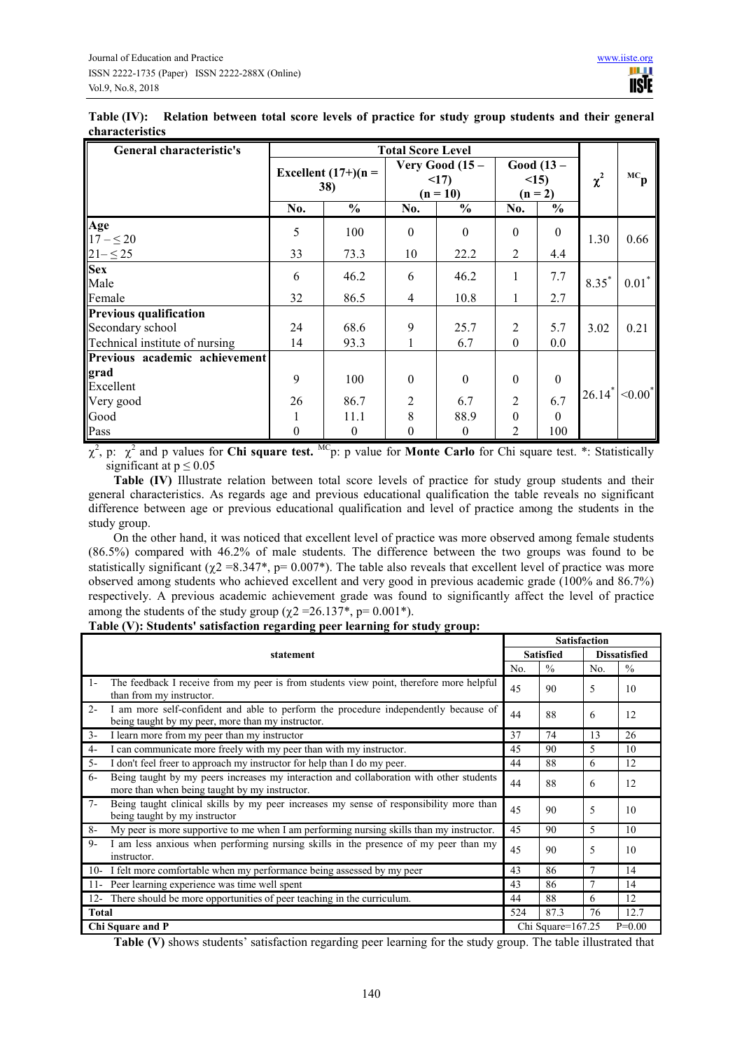| General characteristic's       |                               | <b>Total Score Level</b> |                                        |               |                                  |                  |          |                             |
|--------------------------------|-------------------------------|--------------------------|----------------------------------------|---------------|----------------------------------|------------------|----------|-----------------------------|
|                                | Excellent $(17+)$ (n =<br>38) |                          | Very Good $(15 -$<br><17<br>$(n = 10)$ |               | Good $(13 -$<br><15<br>$(n = 2)$ |                  | $\chi^2$ | м $\mathbf{c}_{\mathbf{p}}$ |
|                                | No.                           | $\frac{6}{6}$            | No.                                    | $\frac{0}{0}$ | No.                              | $\frac{0}{0}$    |          |                             |
| Age<br>$17 - 520$              | 5                             | 100                      | $\boldsymbol{0}$                       | $\Omega$      | $\boldsymbol{0}$                 | $\boldsymbol{0}$ | 1.30     | 0.66                        |
| $21 - 525$                     | 33                            | 73.3                     | 10                                     | 22.2          | 2                                | 4.4              |          |                             |
| <b>Sex</b><br>Male             | 6                             | 46.2                     | 6                                      | 46.2          | 1                                | 7.7              | $8.35*$  | $0.01*$                     |
| Female                         | 32                            | 86.5                     | $\overline{4}$                         | 10.8          | $\mathbf{1}$                     | 2.7              |          |                             |
| <b>Previous qualification</b>  |                               |                          |                                        |               |                                  |                  |          |                             |
| Secondary school               | 24                            | 68.6                     | 9                                      | 25.7          | $\overline{2}$                   | 5.7              | 3.02     | 0.21                        |
| Technical institute of nursing | 14                            | 93.3                     | 1                                      | 6.7           | $\theta$                         | 0.0              |          |                             |
| Previous academic achievement  |                               |                          |                                        |               |                                  |                  |          |                             |
| grad<br>Excellent              | 9                             | 100                      | $\boldsymbol{0}$                       | $\theta$      | $\boldsymbol{0}$                 | $\boldsymbol{0}$ |          |                             |
| Very good                      | 26                            | 86.7                     | $\overline{2}$                         | 6.7           | $\overline{2}$                   | 6.7              | $26.14*$ | $< 0.00^*$                  |
| Good                           |                               | 11.1                     | $\,$ 8 $\,$                            | 88.9          | $\boldsymbol{0}$                 | $\theta$         |          |                             |
| Pass                           | $\boldsymbol{0}$              | $\mathbf{0}$             | $\boldsymbol{0}$                       | $\mathbf{0}$  | 2                                | 100              |          |                             |

**Table (IV): Relation between total score levels of practice for study group students and their general characteristics** 

χ 2 , p: χ 2 and p values for **Chi square test.** MCp: p value for **Monte Carlo** for Chi square test. \*: Statistically significant at  $p \le 0.05$ 

**Table (IV)** Illustrate relation between total score levels of practice for study group students and their general characteristics. As regards age and previous educational qualification the table reveals no significant difference between age or previous educational qualification and level of practice among the students in the study group.

On the other hand, it was noticed that excellent level of practice was more observed among female students (86.5%) compared with 46.2% of male students. The difference between the two groups was found to be statistically significant ( $\chi$ 2 =8.347\*, p= 0.007\*). The table also reveals that excellent level of practice was more observed among students who achieved excellent and very good in previous academic grade (100% and 86.7%) respectively. A previous academic achievement grade was found to significantly affect the level of practice among the students of the study group ( $\chi$ 2 =26.137<sup>\*</sup>, p= 0.001<sup>\*</sup>).

|              |                                                                                                                                          | <b>Satisfaction</b>           |               |             |                     |  |
|--------------|------------------------------------------------------------------------------------------------------------------------------------------|-------------------------------|---------------|-------------|---------------------|--|
|              | statement                                                                                                                                | <b>Satisfied</b>              |               |             | <b>Dissatisfied</b> |  |
|              |                                                                                                                                          | No.                           | $\frac{0}{0}$ | No.         | $\frac{0}{0}$       |  |
| $1 -$        | The feedback I receive from my peer is from students view point, therefore more helpful<br>than from my instructor.                      | 45                            | 90            | 5           | 10                  |  |
| $2 -$        | I am more self-confident and able to perform the procedure independently because of<br>being taught by my peer, more than my instructor. | 44                            | 88            | 6           | 12                  |  |
| $3-$         | I learn more from my peer than my instructor                                                                                             | 37                            | 74            | 13          | 26                  |  |
| $4-$         | I can communicate more freely with my peer than with my instructor.                                                                      | 45                            | 90            | 5           | 10                  |  |
| $5 -$        | I don't feel freer to approach my instructor for help than I do my peer.                                                                 | 44                            | 88            | 6           | 12                  |  |
| $6-$         | Being taught by my peers increases my interaction and collaboration with other students<br>more than when being taught by my instructor. | 44                            | 88            | 6           | 12                  |  |
| $7 -$        | Being taught clinical skills by my peer increases my sense of responsibility more than<br>being taught by my instructor                  | 45                            | 90            | 5           | 10                  |  |
| $8-$         | My peer is more supportive to me when I am performing nursing skills than my instructor.                                                 | 45                            | 90            | 5           | 10                  |  |
| $Q_{-}$      | I am less anxious when performing nursing skills in the presence of my peer than my<br>instructor.                                       | 45                            | 90            | $\varsigma$ | 10                  |  |
| $10-$        | I felt more comfortable when my performance being assessed by my peer                                                                    | 43                            | 86            | 7           | 14                  |  |
| $11-$        | Peer learning experience was time well spent                                                                                             | 43                            | 86            | 7           | 14                  |  |
| $12 -$       | There should be more opportunities of peer teaching in the curriculum.                                                                   | 44                            | 88            | 6           | 12                  |  |
| <b>Total</b> |                                                                                                                                          | 524                           | 87.3          | 76          | 12.7                |  |
|              | Chi Square and P                                                                                                                         | $P=0.00$<br>Chi Square=167.25 |               |             |                     |  |

#### **Table (V): Students' satisfaction regarding peer learning for study group:**

**Table (V)** shows students' satisfaction regarding peer learning for the study group. The table illustrated that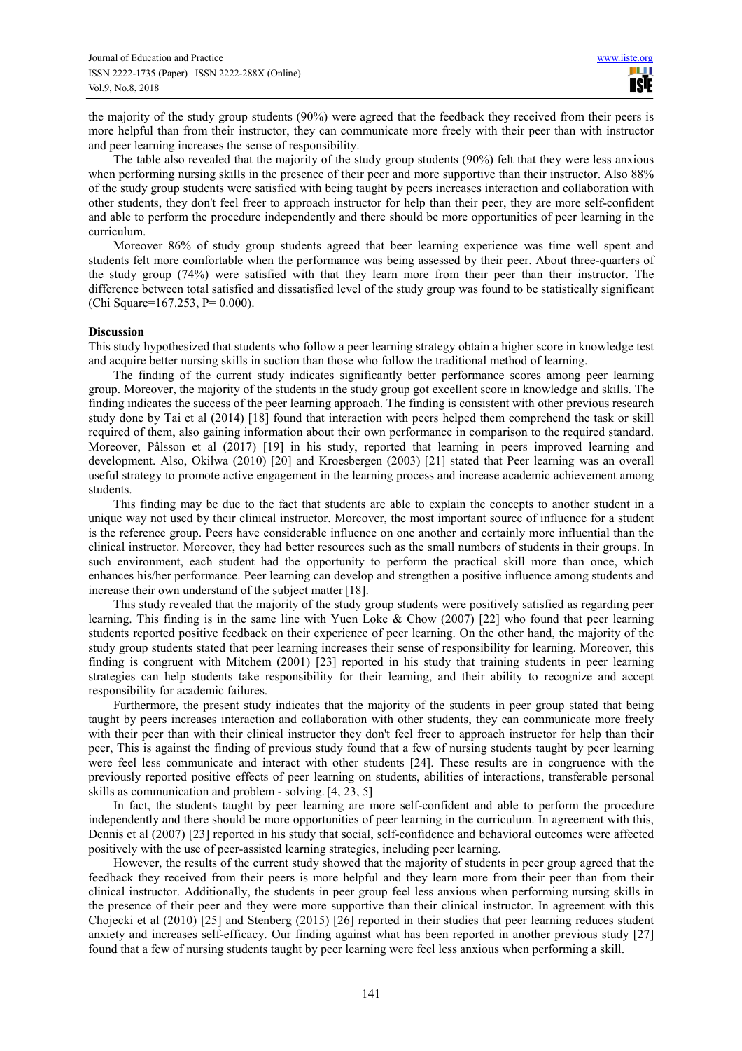the majority of the study group students (90%) were agreed that the feedback they received from their peers is more helpful than from their instructor, they can communicate more freely with their peer than with instructor and peer learning increases the sense of responsibility.

The table also revealed that the majority of the study group students (90%) felt that they were less anxious when performing nursing skills in the presence of their peer and more supportive than their instructor. Also 88% of the study group students were satisfied with being taught by peers increases interaction and collaboration with other students, they don't feel freer to approach instructor for help than their peer, they are more self-confident and able to perform the procedure independently and there should be more opportunities of peer learning in the curriculum.

Moreover 86% of study group students agreed that beer learning experience was time well spent and students felt more comfortable when the performance was being assessed by their peer. About three-quarters of the study group (74%) were satisfied with that they learn more from their peer than their instructor. The difference between total satisfied and dissatisfied level of the study group was found to be statistically significant (Chi Square=167.253, P= 0.000).

#### **Discussion**

This study hypothesized that students who follow a peer learning strategy obtain a higher score in knowledge test and acquire better nursing skills in suction than those who follow the traditional method of learning.

The finding of the current study indicates significantly better performance scores among peer learning group. Moreover, the majority of the students in the study group got excellent score in knowledge and skills. The finding indicates the success of the peer learning approach. The finding is consistent with other previous research study done by Tai et al (2014) [18] found that interaction with peers helped them comprehend the task or skill required of them, also gaining information about their own performance in comparison to the required standard. Moreover, Pålsson et al (2017) [19] in his study, reported that learning in peers improved learning and development. Also, Okilwa (2010) [20] and Kroesbergen (2003) [21] stated that Peer learning was an overall useful strategy to promote active engagement in the learning process and increase academic achievement among students.

This finding may be due to the fact that students are able to explain the concepts to another student in a unique way not used by their clinical instructor. Moreover, the most important source of influence for a student is the reference group. Peers have considerable influence on one another and certainly more influential than the clinical instructor. Moreover, they had better resources such as the small numbers of students in their groups. In such environment, each student had the opportunity to perform the practical skill more than once, which enhances his/her performance. Peer learning can develop and strengthen a positive influence among students and increase their own understand of the subject matter [18].

This study revealed that the majority of the study group students were positively satisfied as regarding peer learning. This finding is in the same line with Yuen Loke & Chow (2007) [22] who found that peer learning students reported positive feedback on their experience of peer learning. On the other hand, the majority of the study group students stated that peer learning increases their sense of responsibility for learning. Moreover, this finding is congruent with Mitchem (2001) [23] reported in his study that training students in peer learning strategies can help students take responsibility for their learning, and their ability to recognize and accept responsibility for academic failures.

Furthermore, the present study indicates that the majority of the students in peer group stated that being taught by peers increases interaction and collaboration with other students, they can communicate more freely with their peer than with their clinical instructor they don't feel freer to approach instructor for help than their peer, This is against the finding of previous study found that a few of nursing students taught by peer learning were feel less communicate and interact with other students [24]. These results are in congruence with the previously reported positive effects of peer learning on students, abilities of interactions, transferable personal skills as communication and problem - solving. [4, 23, 5]

In fact, the students taught by peer learning are more self-confident and able to perform the procedure independently and there should be more opportunities of peer learning in the curriculum. In agreement with this, Dennis et al (2007) [23] reported in his study that social, self-confidence and behavioral outcomes were affected positively with the use of peer-assisted learning strategies, including peer learning.

However, the results of the current study showed that the majority of students in peer group agreed that the feedback they received from their peers is more helpful and they learn more from their peer than from their clinical instructor. Additionally, the students in peer group feel less anxious when performing nursing skills in the presence of their peer and they were more supportive than their clinical instructor. In agreement with this Chojecki et al (2010) [25] and Stenberg (2015) [26] reported in their studies that peer learning reduces student anxiety and increases self-efficacy. Our finding against what has been reported in another previous study [27] found that a few of nursing students taught by peer learning were feel less anxious when performing a skill.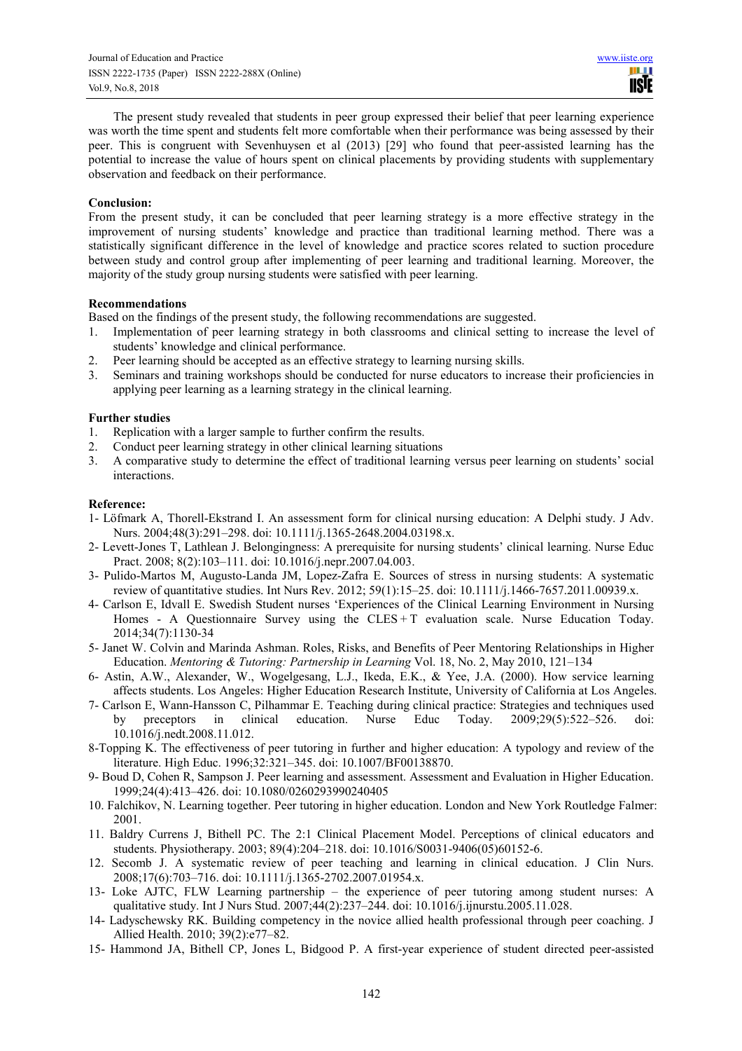The present study revealed that students in peer group expressed their belief that peer learning experience was worth the time spent and students felt more comfortable when their performance was being assessed by their peer. This is congruent with Sevenhuysen et al (2013) [29] who found that peer-assisted learning has the potential to increase the value of hours spent on clinical placements by providing students with supplementary observation and feedback on their performance.

#### **Conclusion:**

From the present study, it can be concluded that peer learning strategy is a more effective strategy in the improvement of nursing students' knowledge and practice than traditional learning method. There was a statistically significant difference in the level of knowledge and practice scores related to suction procedure between study and control group after implementing of peer learning and traditional learning. Moreover, the majority of the study group nursing students were satisfied with peer learning.

#### **Recommendations**

Based on the findings of the present study, the following recommendations are suggested.

- 1. Implementation of peer learning strategy in both classrooms and clinical setting to increase the level of students' knowledge and clinical performance.
- 2. Peer learning should be accepted as an effective strategy to learning nursing skills.
- 3. Seminars and training workshops should be conducted for nurse educators to increase their proficiencies in applying peer learning as a learning strategy in the clinical learning.

#### **Further studies**

- 1. Replication with a larger sample to further confirm the results.
- 2. Conduct peer learning strategy in other clinical learning situations
- 3. A comparative study to determine the effect of traditional learning versus peer learning on students' social interactions.

#### **Reference:**

- 1- Löfmark A, Thorell-Ekstrand I. An assessment form for clinical nursing education: A Delphi study. J Adv. Nurs. 2004;48(3):291–298. doi: 10.1111/j.1365-2648.2004.03198.x.
- 2- Levett-Jones T, Lathlean J. Belongingness: A prerequisite for nursing students' clinical learning. Nurse Educ Pract. 2008; 8(2):103-111. doi: 10.1016/j.nepr.2007.04.003.
- 3- Pulido-Martos M, Augusto-Landa JM, Lopez-Zafra E. Sources of stress in nursing students: A systematic review of quantitative studies. Int Nurs Rev. 2012; 59(1):15–25. doi: 10.1111/j.1466-7657.2011.00939.x.
- 4- Carlson E, Idvall E. Swedish Student nurses 'Experiences of the Clinical Learning Environment in Nursing Homes - A Questionnaire Survey using the  $CLES + T$  evaluation scale. Nurse Education Today. 2014;34(7):1130-34
- 5- Janet W. Colvin and Marinda Ashman. Roles, Risks, and Benefits of Peer Mentoring Relationships in Higher Education. *Mentoring & Tutoring: Partnership in Learning* Vol. 18, No. 2, May 2010, 121–134
- 6- Astin, A.W., Alexander, W., Wogelgesang, L.J., Ikeda, E.K., & Yee, J.A. (2000). How service learning affects students. Los Angeles: Higher Education Research Institute, University of California at Los Angeles.
- 7- Carlson E, Wann-Hansson C, Pilhammar E. Teaching during clinical practice: Strategies and techniques used by preceptors in clinical education. Nurse Educ Today. 2009;29(5):522–526. doi: 10.1016/j.nedt.2008.11.012.
- 8-Topping K. The effectiveness of peer tutoring in further and higher education: A typology and review of the literature. High Educ. 1996;32:321–345. doi: 10.1007/BF00138870.
- 9- Boud D, Cohen R, Sampson J. Peer learning and assessment. Assessment and Evaluation in Higher Education. 1999;24(4):413–426. doi: 10.1080/0260293990240405
- 10. Falchikov, N. Learning together. Peer tutoring in higher education. London and New York Routledge Falmer: 2001.
- 11. Baldry Currens J, Bithell PC. The 2:1 Clinical Placement Model. Perceptions of clinical educators and students. Physiotherapy. 2003; 89(4):204–218. doi: 10.1016/S0031-9406(05)60152-6.
- 12. Secomb J. A systematic review of peer teaching and learning in clinical education. J Clin Nurs. 2008;17(6):703–716. doi: 10.1111/j.1365-2702.2007.01954.x.
- 13- Loke AJTC, FLW Learning partnership the experience of peer tutoring among student nurses: A qualitative study. Int J Nurs Stud. 2007;44(2):237–244. doi: 10.1016/j.ijnurstu.2005.11.028.
- 14- Ladyschewsky RK. Building competency in the novice allied health professional through peer coaching. J Allied Health. 2010; 39(2):e77–82.
- 15- Hammond JA, Bithell CP, Jones L, Bidgood P. A first-year experience of student directed peer-assisted